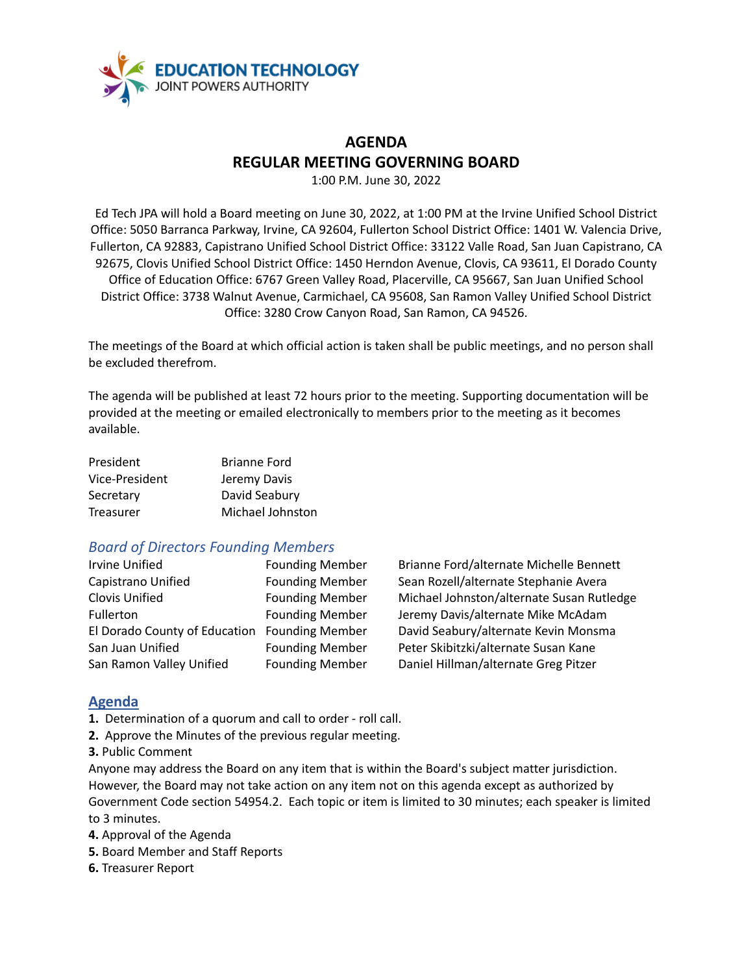

# **AGENDA REGULAR MEETING GOVERNING BOARD**

1:00 P.M. June 30, 2022

Ed Tech JPA will hold a Board meeting on June 30, 2022, at 1:00 PM at the Irvine Unified School District Office: 5050 Barranca Parkway, Irvine, CA 92604, Fullerton School District Office: 1401 W. Valencia Drive, Fullerton, CA 92883, Capistrano Unified School District Office: 33122 Valle Road, San Juan Capistrano, CA 92675, Clovis Unified School District Office: 1450 Herndon Avenue, Clovis, CA 93611, El Dorado County Office of Education Office: 6767 Green Valley Road, Placerville, CA 95667, San Juan Unified School District Office: 3738 Walnut Avenue, Carmichael, CA 95608, San Ramon Valley Unified School District Office: 3280 Crow Canyon Road, San Ramon, CA 94526.

The meetings of the Board at which official action is taken shall be public meetings, and no person shall be excluded therefrom.

The agenda will be published at least 72 hours prior to the meeting. Supporting documentation will be provided at the meeting or emailed electronically to members prior to the meeting as it becomes available.

| President      | <b>Brianne Ford</b> |
|----------------|---------------------|
| Vice-President | Jeremy Davis        |
| Secretary      | David Seabury       |
| Treasurer      | Michael Johnston    |

## *Board of Directors Founding Members*

| <b>Irvine Unified</b>                        | <b>Founding Membe</b> |
|----------------------------------------------|-----------------------|
| Capistrano Unified                           | <b>Founding Membe</b> |
| Clovis Unified                               | <b>Founding Membe</b> |
| Fullerton                                    | <b>Founding Membe</b> |
| El Dorado County of Education Founding Membe |                       |
| San Juan Unified                             | <b>Founding Membe</b> |
| San Ramon Valley Unified                     | <b>Founding Membe</b> |

Irving Brianne Ford/alternate Michelle Bennett r Sean Rozell/alternate Stephanie Avera r Michael Johnston/alternate Susan Rutledge r Jeremy Davis/alternate Mike McAdam El Dorado County of Education Founding Member David Seabury/alternate Kevin Monsma er Peter Skibitzki/alternate Susan Kane San Ramon Valley Unified Founding Member Daniel Hillman/alternate Greg Pitzer

## **Agenda**

**1.** Determination of a quorum and call to order - roll call.

- **2.** Approve the Minutes of the previous regular meeting.
- **3.** Public Comment

Anyone may address the Board on any item that is within the Board's subject matter jurisdiction. However, the Board may not take action on any item not on this agenda except as authorized by Government Code section 54954.2. Each topic or item is limited to 30 minutes; each speaker is limited to 3 minutes.

**4.** Approval of the Agenda

- **5.** Board Member and Staff Reports
- **6.** Treasurer Report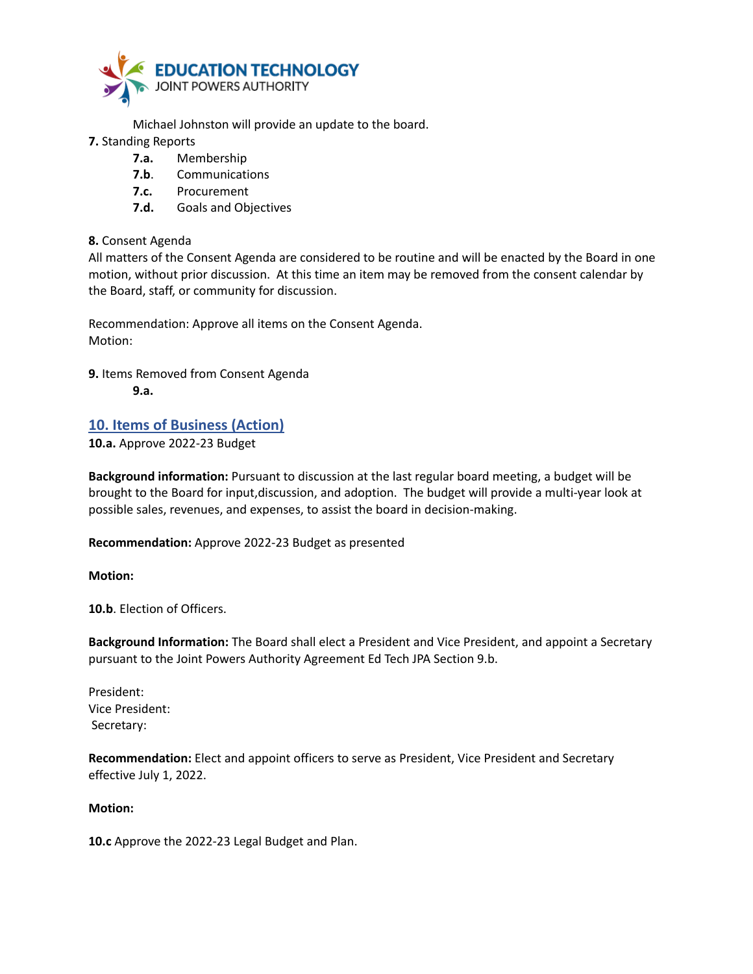

Michael Johnston will provide an update to the board.

- **7.** Standing Reports
	- **7.a.** Membership
	- **7.b**. Communications
	- **7.c.** Procurement
	- **7.d.** Goals and Objectives

#### **8.** Consent Agenda

All matters of the Consent Agenda are considered to be routine and will be enacted by the Board in one motion, without prior discussion. At this time an item may be removed from the consent calendar by the Board, staff, or community for discussion.

Recommendation: Approve all items on the Consent Agenda. Motion:

**9.** Items Removed from Consent Agenda **9.a.**

## **10. Items of Business (Action)**

**10.a.** Approve 2022-23 Budget

**Background information:** Pursuant to discussion at the last regular board meeting, a budget will be brought to the Board for input,discussion, and adoption. The budget will provide a multi-year look at possible sales, revenues, and expenses, to assist the board in decision-making.

**Recommendation:** Approve 2022-23 Budget as presented

**Motion:**

**10.b**. Election of Officers.

**Background Information:** The Board shall elect a President and Vice President, and appoint a Secretary pursuant to the Joint Powers Authority Agreement Ed Tech JPA Section 9.b.

President: Vice President: Secretary:

**Recommendation:** Elect and appoint officers to serve as President, Vice President and Secretary effective July 1, 2022.

#### **Motion:**

**10.c** Approve the 2022-23 Legal Budget and Plan.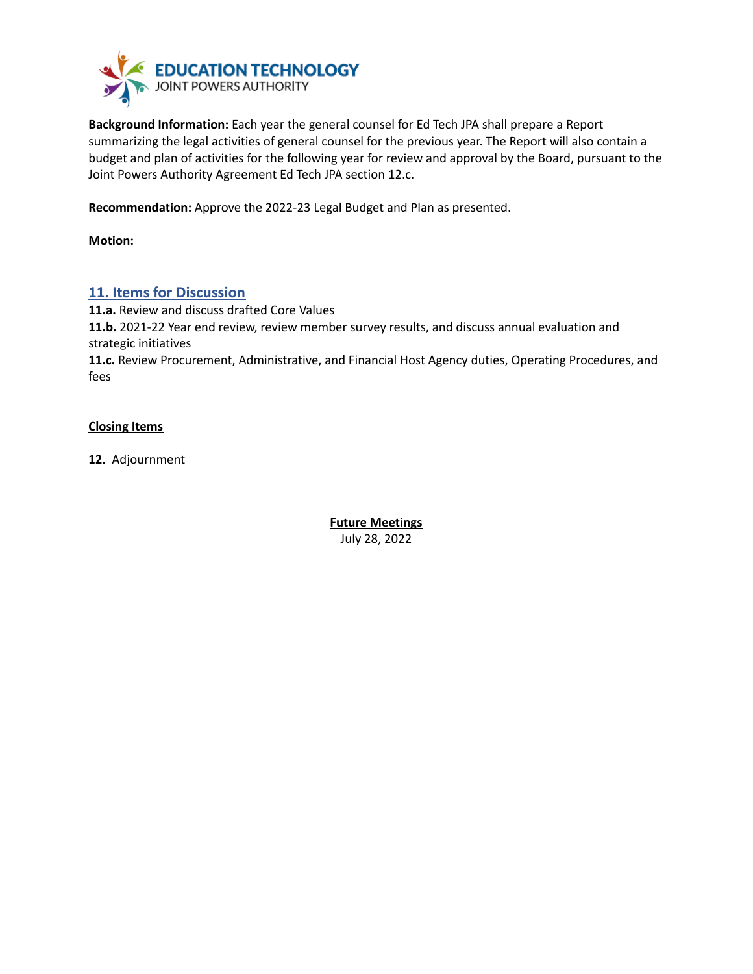

**Background Information:** Each year the general counsel for Ed Tech JPA shall prepare a Report summarizing the legal activities of general counsel for the previous year. The Report will also contain a budget and plan of activities for the following year for review and approval by the Board, pursuant to the Joint Powers Authority Agreement Ed Tech JPA section 12.c.

**Recommendation:** Approve the 2022-23 Legal Budget and Plan as presented.

**Motion:**

## **11. Items for Discussion**

**11.a.** Review and discuss drafted Core Values **11.b.** 2021-22 Year end review, review member survey results, and discuss annual evaluation and strategic initiatives **11.c.** Review Procurement, Administrative, and Financial Host Agency duties, Operating Procedures, and

#### **Closing Items**

fees

**12.** Adjournment

**Future Meetings** July 28, 2022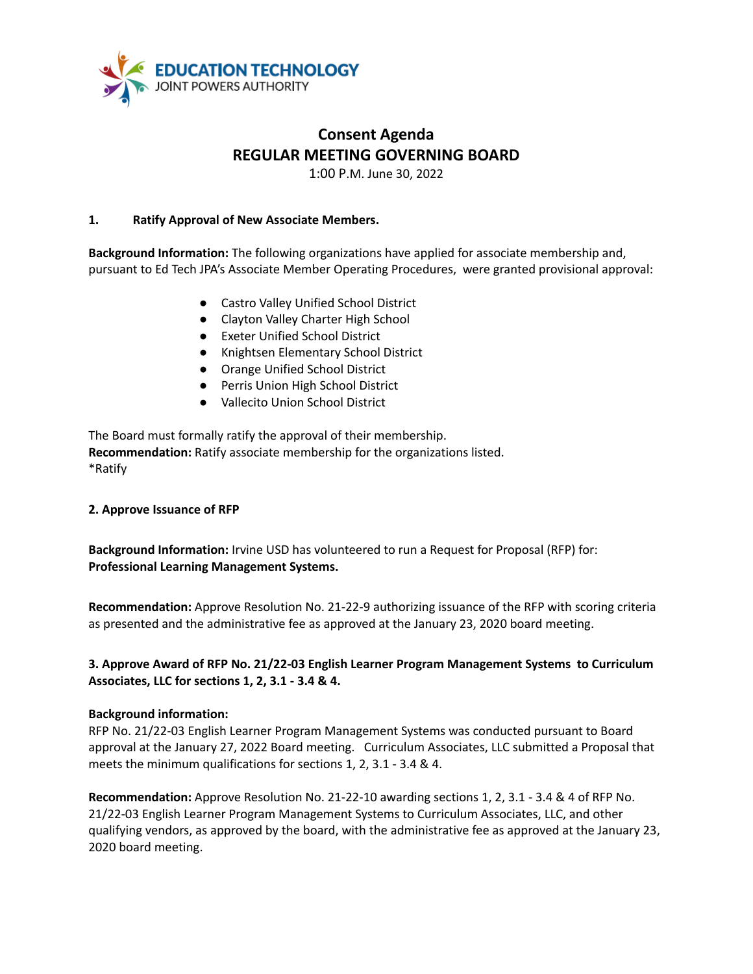

## **Consent Agenda REGULAR MEETING GOVERNING BOARD**

1:00 P.M. June 30, 2022

#### **1. Ratify Approval of New Associate Members.**

**Background Information:** The following organizations have applied for associate membership and, pursuant to Ed Tech JPA's Associate Member Operating Procedures, were granted provisional approval:

- Castro Valley Unified School District
- Clayton Valley Charter High School
- Exeter Unified School District
- Knightsen Elementary School District
- Orange Unified School District
- Perris Union High School District
- Vallecito Union School District

The Board must formally ratify the approval of their membership. **Recommendation:** Ratify associate membership for the organizations listed. \*Ratify

#### **2. Approve Issuance of RFP**

**Background Information:** Irvine USD has volunteered to run a Request for Proposal (RFP) for: **Professional Learning Management Systems.**

**Recommendation:** Approve Resolution No. 21-22-9 authorizing issuance of the RFP with scoring criteria as presented and the administrative fee as approved at the January 23, 2020 board meeting.

### **3. Approve Award of RFP No. 21/22-03 English Learner Program Management Systems to Curriculum Associates, LLC for sections 1, 2, 3.1 - 3.4 & 4.**

#### **Background information:**

RFP No. 21/22-03 English Learner Program Management Systems was conducted pursuant to Board approval at the January 27, 2022 Board meeting. Curriculum Associates, LLC submitted a Proposal that meets the minimum qualifications for sections 1, 2, 3.1 - 3.4 & 4.

**Recommendation:** Approve Resolution No. 21-22-10 awarding sections 1, 2, 3.1 - 3.4 & 4 of RFP No. 21/22-03 English Learner Program Management Systems to Curriculum Associates, LLC, and other qualifying vendors, as approved by the board, with the administrative fee as approved at the January 23, 2020 board meeting.